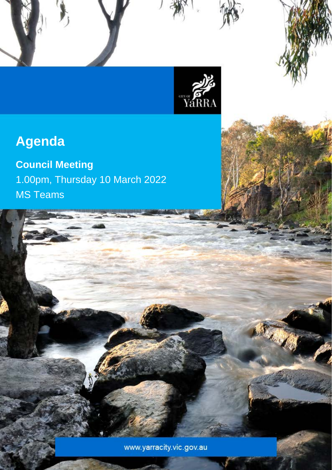

Council Meeting Agenda – 25 January 2022

# **Agenda**

## **Council Meeting** 1.00pm, Thursday 10 March 2022 MS Teams

www.yarracity.vic.gov.au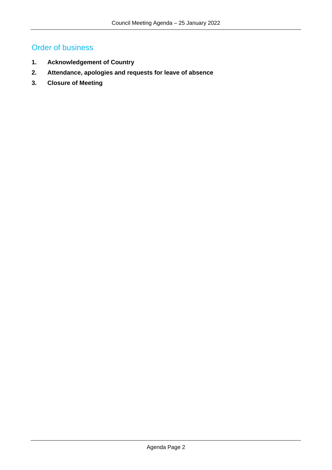## Order of business

- **1. Acknowledgement of Country**
- **2. Attendance, apologies and requests for leave of absence**
- **3. Closure of Meeting**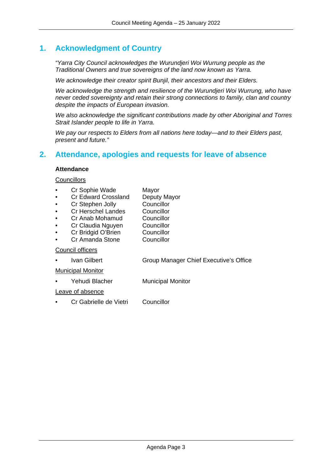## **1. Acknowledgment of Country**

*"Yarra City Council acknowledges the Wurundjeri Woi Wurrung people as the Traditional Owners and true sovereigns of the land now known as Yarra.*

*We acknowledge their creator spirit Bunjil, their ancestors and their Elders.*

*We acknowledge the strength and resilience of the Wurundjeri Woi Wurrung, who have never ceded sovereignty and retain their strong connections to family, clan and country despite the impacts of European invasion.*

*We also acknowledge the significant contributions made by other Aboriginal and Torres Strait Islander people to life in Yarra.*

*We pay our respects to Elders from all nations here today—and to their Elders past, present and future."*

## **2. Attendance, apologies and requests for leave of absence**

#### **Attendance**

#### **Councillors**

- Cr Sophie Wade Mayor
- Cr Edward Crossland Deputy Mayor
- 
- **Cr Stephen Jolly Councillor<br>
Cr Herschel Landes Councillor** Cr Herschel Landes
- Cr Anab Mohamud Councillor
- 
- Cr Claudia Nguyen Councillor<br>Cr Bridgid O'Brien Councillor
- **Cr Bridgid O'Brien Councillor<br>
Cr Amanda Stone Councillor** Cr Amanda Stone

#### Council officers

• Ivan Gilbert Group Manager Chief Executive's Office

Municipal Monitor

Yehudi Blacher Municipal Monitor

#### Leave of absence

• Cr Gabrielle de Vietri Councillor